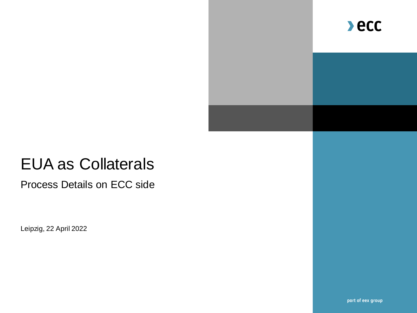

# EUA as Collaterals

Process Details on ECC side

Leipzig, 22 April 2022

part of eex group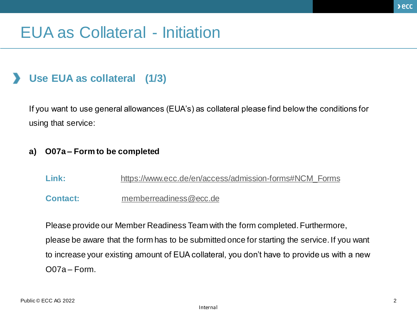## EUA as Collateral - Initiation

### • **Use EUA as collateral (1/3)**

If you want to use general allowances (EUA's) as collateral please find below the conditions for using that service:

#### **a) O07a – Form to be completed**

Link: [https://www.ecc.de/en/access/admission-forms#NCM\\_Forms](https://www.ecc.de/en/access/admission-forms#NCM_Forms)

**Contact:** [memberreadiness@ecc.de](mailto:memberreadiness@ecc.de)

Please provide our Member Readiness Team with the form completed. Furthermore, please be aware that the form has to be submitted once for starting the service. If you want to increase your existing amount of EUA collateral, you don't have to provide us with a new O07a – Form.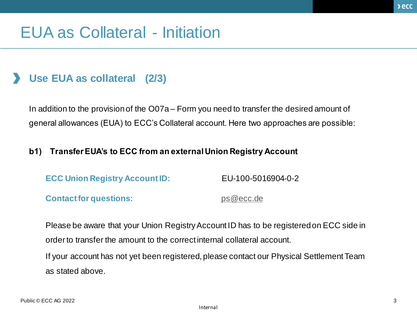## EUA as Collateral - Initiation

### • **Use EUA as collateral (2/3)**

In addition to the provision of the O07a – Form you need to transfer the desired amount of general allowances (EUA) to ECC's Collateral account. Here two approaches are possible:

#### **b1) Transfer EUA's to ECC from an external Union Registry Account**

| <b>ECC Union Registry Account ID:</b> | EU-100-5016904-0-2 |
|---------------------------------------|--------------------|
| <b>Contact for questions:</b>         | ps@ecc.de          |

Please be aware that your Union Registry Account ID has to be registered on ECC side in order to transfer the amount to the correct internal collateral account. If your account has not yet been registered, please contact our Physical Settlement Team

as stated above.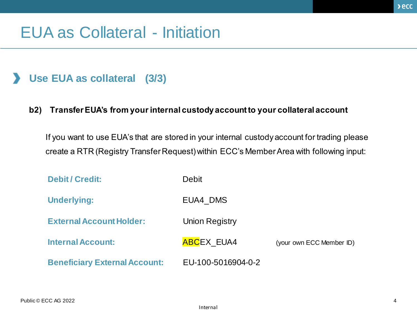## EUA as Collateral - Initiation

### • **Use EUA as collateral (3/3)**

#### **b2) Transfer EUA's from your internal custody account to your collateral account**

If you want to use EUA's that are stored in your internal custody account for trading please create a RTR (Registry Transfer Request) within ECC's Member Area with following input:

| <b>Debit/Credit:</b>                 | <b>Debit</b>          |                          |
|--------------------------------------|-----------------------|--------------------------|
| <b>Underlying:</b>                   | EUA4 DMS              |                          |
| <b>External Account Holder:</b>      | <b>Union Registry</b> |                          |
| <b>Internal Account:</b>             | <b>ABCEX EUA4</b>     | (your own ECC Member ID) |
| <b>Beneficiary External Account:</b> | EU-100-5016904-0-2    |                          |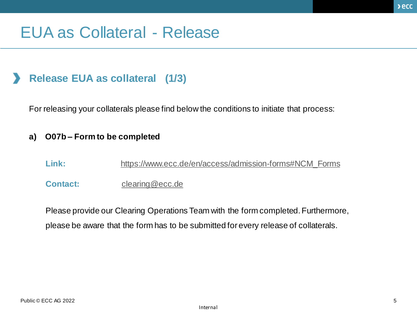## EUA as Collateral - Release

### • **Release EUA as collateral (1/3)**

For releasing your collaterals please find below the conditions to initiate that process:

#### **a) O07b – Form to be completed**

- Link: [https://www.ecc.de/en/access/admission-forms#NCM\\_Forms](https://www.ecc.de/en/access/admission-forms#NCM_Forms)
- **Contact:** [clearing@ecc.de](mailto:clearing@ecc.de)

Please provide our Clearing Operations Team with the form completed. Furthermore, please be aware that the form has to be submitted for every release of collaterals.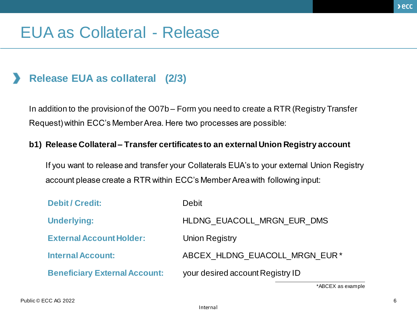## EUA as Collateral - Release

### • **Release EUA as collateral (2/3)**

In addition to the provision of the O07b – Form you need to create a RTR (Registry Transfer Request) within ECC's Member Area. Here two processes are possible:

#### **b1) Release Collateral – Transfer certificates to an external Union Registry account**

If you want to release and transfer your Collaterals EUA's to your external Union Registry account please create a RTR within ECC's Member Area with following input:

| <b>Debit / Credit:</b>               | <b>Debit</b>                     |
|--------------------------------------|----------------------------------|
| <b>Underlying:</b>                   | HLDNG EUACOLL MRGN EUR DMS       |
| <b>External Account Holder:</b>      | <b>Union Registry</b>            |
| <b>Internal Account:</b>             | ABCEX HLDNG EUACOLL MRGN EUR*    |
| <b>Beneficiary External Account:</b> | your desired account Registry ID |

\*ABCEX as example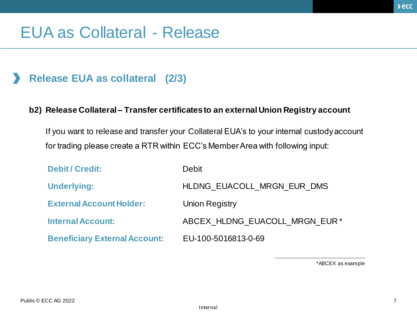## EUA as Collateral - Release

### • **Release EUA as collateral (2/3)**

#### **b2) Release Collateral – Transfer certificates to an external Union Registry account**

If you want to release and transfer your Collateral EUA's to your internal custody account for trading please create a RTR within ECC's Member Area with following input:

| <b>Debit / Credit:</b>               | Debit                         |
|--------------------------------------|-------------------------------|
| <b>Underlying:</b>                   | HLDNG EUACOLL MRGN EUR DMS    |
| <b>External Account Holder:</b>      | Union Registry                |
| <b>Internal Account:</b>             | ABCEX HLDNG EUACOLL MRGN EUR* |
| <b>Beneficiary External Account:</b> | EU-100-5016813-0-69           |

\*ABCEX as example